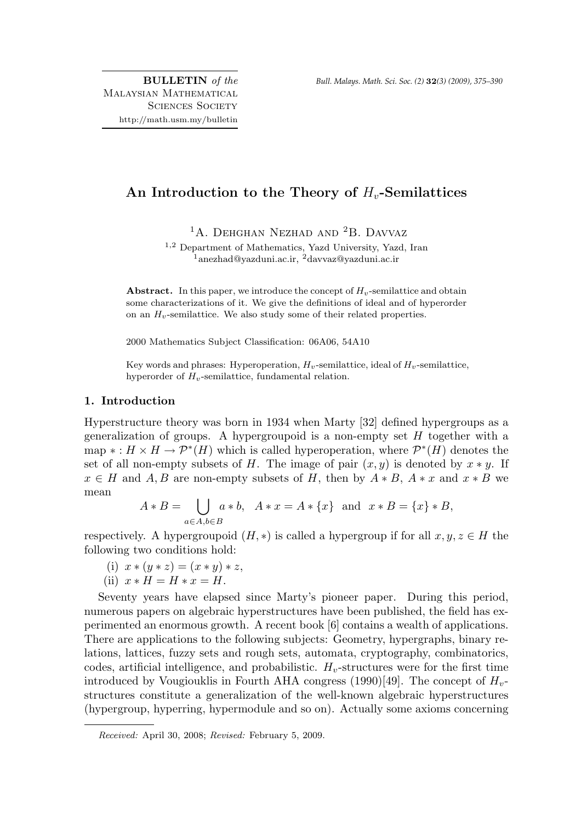# An Introduction to the Theory of  $H<sub>v</sub>$ -Semilattices

<sup>1</sup>A. Dehghan Nezhad and <sup>2</sup>B. Davvaz

<sup>1</sup>,<sup>2</sup> Department of Mathematics, Yazd University, Yazd, Iran  $\overline{1}$ anezhad@yazduni.ac.ir,  $\overline{2}$ davvaz@yazduni.ac.ir

Abstract. In this paper, we introduce the concept of  $H_v$ -semilattice and obtain some characterizations of it. We give the definitions of ideal and of hyperorder on an  $H_v$ -semilattice. We also study some of their related properties.

2000 Mathematics Subject Classification: 06A06, 54A10

Key words and phrases: Hyperoperation,  $H_v$ -semilattice, ideal of  $H_v$ -semilattice, hyperorder of  $H_v$ -semilattice, fundamental relation.

## 1. Introduction

Hyperstructure theory was born in 1934 when Marty [32] defined hypergroups as a generalization of groups. A hypergroupoid is a non-empty set  $H$  together with a map  $*: H \times H \to \mathcal{P}^*(H)$  which is called hyperoperation, where  $\mathcal{P}^*(H)$  denotes the set of all non-empty subsets of H. The image of pair  $(x, y)$  is denoted by  $x * y$ . If  $x \in H$  and A, B are non-empty subsets of H, then by  $A * B$ ,  $A * x$  and  $x * B$  we mean

$$
A * B = \bigcup_{a \in A, b \in B} a * b, \quad A * x = A * \{x\} \text{ and } x * B = \{x\} * B,
$$

respectively. A hypergroupoid  $(H, *)$  is called a hypergroup if for all  $x, y, z \in H$  the following two conditions hold:

(i) 
$$
x * (y * z) = (x * y) * z
$$
,

(ii)  $x * H = H * x = H$ .

Seventy years have elapsed since Marty's pioneer paper. During this period, numerous papers on algebraic hyperstructures have been published, the field has experimented an enormous growth. A recent book [6] contains a wealth of applications. There are applications to the following subjects: Geometry, hypergraphs, binary relations, lattices, fuzzy sets and rough sets, automata, cryptography, combinatorics, codes, artificial intelligence, and probabilistic.  $H_v$ -structures were for the first time introduced by Vougiouklis in Fourth AHA congress (1990)[49]. The concept of  $H_{v}$ structures constitute a generalization of the well-known algebraic hyperstructures (hypergroup, hyperring, hypermodule and so on). Actually some axioms concerning

Received: April 30, 2008; Revised: February 5, 2009.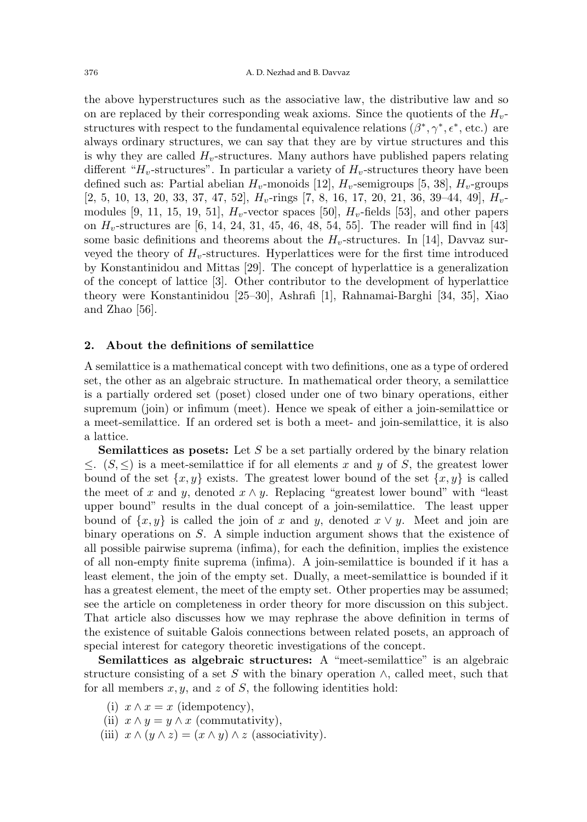the above hyperstructures such as the associative law, the distributive law and so on are replaced by their corresponding weak axioms. Since the quotients of the  $H_v$ structures with respect to the fundamental equivalence relations  $(\beta^*, \gamma^*, \epsilon^*,$  etc.) are always ordinary structures, we can say that they are by virtue structures and this is why they are called  $H_v$ -structures. Many authors have published papers relating different " $H_v$ -structures". In particular a variety of  $H_v$ -structures theory have been defined such as: Partial abelian  $H_v$ -monoids [12],  $H_v$ -semigroups [5, 38],  $H_v$ -groups  $[2, 5, 10, 13, 20, 33, 37, 47, 52],$   $H_v$ -rings  $[7, 8, 16, 17, 20, 21, 36, 39-44, 49],$   $H_v$ modules [9, 11, 15, 19, 51],  $H_v$ -vector spaces [50],  $H_v$ -fields [53], and other papers on  $H_v$ -structures are [6, 14, 24, 31, 45, 46, 48, 54, 55]. The reader will find in [43] some basic definitions and theorems about the  $H_v$ -structures. In [14], Davvaz surveyed the theory of  $H_v$ -structures. Hyperlattices were for the first time introduced by Konstantinidou and Mittas [29]. The concept of hyperlattice is a generalization of the concept of lattice [3]. Other contributor to the development of hyperlattice theory were Konstantinidou [25–30], Ashrafi [1], Rahnamai-Barghi [34, 35], Xiao and Zhao [56].

#### 2. About the definitions of semilattice

A semilattice is a mathematical concept with two definitions, one as a type of ordered set, the other as an algebraic structure. In mathematical order theory, a semilattice is a partially ordered set (poset) closed under one of two binary operations, either supremum (join) or infimum (meet). Hence we speak of either a join-semilattice or a meet-semilattice. If an ordered set is both a meet- and join-semilattice, it is also a lattice.

**Semilattices as posets:** Let S be a set partially ordered by the binary relation  $≤$ .  $(S, ≤)$  is a meet-semilattice if for all elements x and y of S, the greatest lower bound of the set  $\{x, y\}$  exists. The greatest lower bound of the set  $\{x, y\}$  is called the meet of x and y, denoted  $x \wedge y$ . Replacing "greatest lower bound" with "least" upper bound" results in the dual concept of a join-semilattice. The least upper bound of  $\{x, y\}$  is called the join of x and y, denoted  $x \vee y$ . Meet and join are binary operations on S. A simple induction argument shows that the existence of all possible pairwise suprema (infima), for each the definition, implies the existence of all non-empty finite suprema (infima). A join-semilattice is bounded if it has a least element, the join of the empty set. Dually, a meet-semilattice is bounded if it has a greatest element, the meet of the empty set. Other properties may be assumed; see the article on completeness in order theory for more discussion on this subject. That article also discusses how we may rephrase the above definition in terms of the existence of suitable Galois connections between related posets, an approach of special interest for category theoretic investigations of the concept.

Semilattices as algebraic structures: A "meet-semilattice" is an algebraic structure consisting of a set S with the binary operation  $\wedge$ , called meet, such that for all members  $x, y$ , and  $z$  of  $S$ , the following identities hold:

- (i)  $x \wedge x = x$  (idempotency),
- (ii)  $x \wedge y = y \wedge x$  (commutativity),
- (iii)  $x \wedge (y \wedge z) = (x \wedge y) \wedge z$  (associativity).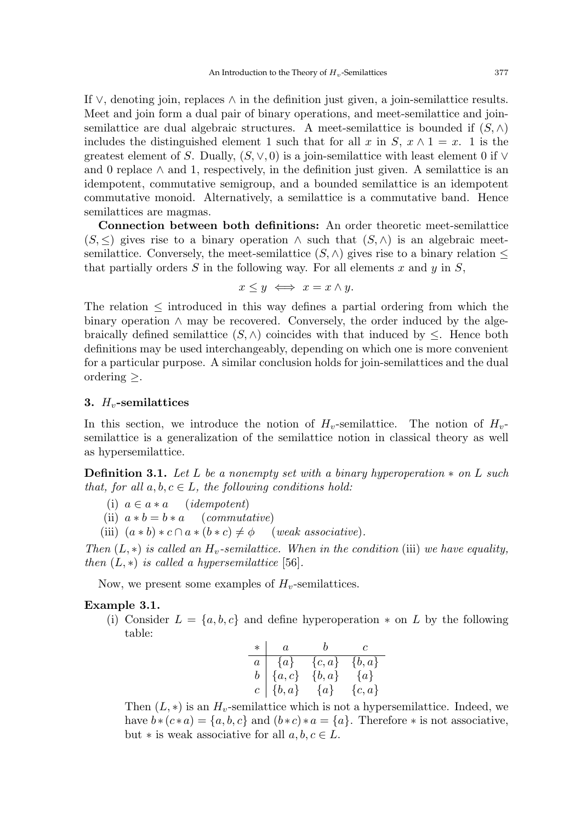If  $\vee$ , denoting join, replaces  $\wedge$  in the definition just given, a join-semilattice results. Meet and join form a dual pair of binary operations, and meet-semilattice and joinsemilattice are dual algebraic structures. A meet-semilattice is bounded if  $(S, \wedge)$ includes the distinguished element 1 such that for all x in S,  $x \wedge 1 = x$ . 1 is the greatest element of S. Dually,  $(S, \vee, 0)$  is a join-semilattice with least element 0 if  $\vee$ and 0 replace  $\wedge$  and 1, respectively, in the definition just given. A semilattice is an idempotent, commutative semigroup, and a bounded semilattice is an idempotent commutative monoid. Alternatively, a semilattice is a commutative band. Hence semilattices are magmas.

Connection between both definitions: An order theoretic meet-semilattice  $(S, \leq)$  gives rise to a binary operation  $\land$  such that  $(S, \land)$  is an algebraic meetsemilattice. Conversely, the meet-semilattice  $(S, \wedge)$  gives rise to a binary relation  $\leq$ that partially orders S in the following way. For all elements x and y in  $S$ ,

$$
x \le y \iff x = x \land y.
$$

The relation  $\leq$  introduced in this way defines a partial ordering from which the binary operation  $\land$  may be recovered. Conversely, the order induced by the algebraically defined semilattice  $(S, \wedge)$  coincides with that induced by  $\leq$ . Hence both definitions may be used interchangeably, depending on which one is more convenient for a particular purpose. A similar conclusion holds for join-semilattices and the dual ordering  $\geq$ .

### 3.  $H_v$ -semilattices

In this section, we introduce the notion of  $H_v$ -semilattice. The notion of  $H_v$ semilattice is a generalization of the semilattice notion in classical theory as well as hypersemilattice.

**Definition 3.1.** Let L be a nonempty set with a binary hyperoperation  $*$  on L such that, for all  $a, b, c \in L$ , the following conditions hold:

(i)  $a \in a * a$  (*idempotent*)

(ii)  $a * b = b * a$  (commutative)

(iii)  $(a * b) * c \cap a * (b * c) \neq \emptyset$  (weak associative).

Then  $(L, *)$  is called an  $H_v$ -semilattice. When in the condition (iii) we have equality, then  $(L, *)$  is called a hypersemilattice [56].

Now, we present some examples of  $H_v$ -semilattices.

#### Example 3.1.

(i) Consider  $L = \{a, b, c\}$  and define hyperoperation  $*$  on L by the following table:

| $\ast$         | $\boldsymbol{a}$  | $\bm{b}$  | $\mathcal{C}$ |
|----------------|-------------------|-----------|---------------|
| $\overline{a}$ | $\{a\}$           | $\{c,a\}$ | $\{b,a\}$     |
| $b^-$          | ${a, c}$          | $\{b,a\}$ | $\{a\}$       |
|                | $c \mid \{b, a\}$ | $\{a\}$   | $\{c,a\}$     |

Then  $(L, *)$  is an  $H_v$ -semilattice which is not a hypersemilattice. Indeed, we have  $b * (c * a) = \{a, b, c\}$  and  $(b * c) * a = \{a\}$ . Therefore  $*$  is not associative, but  $*$  is weak associative for all  $a, b, c \in L$ .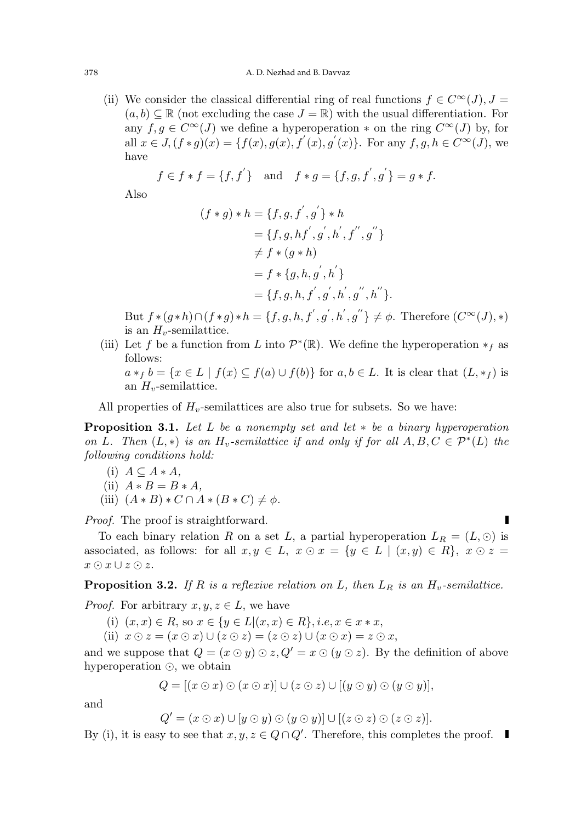(ii) We consider the classical differential ring of real functions  $f \in C^{\infty}(J)$ ,  $J =$  $(a, b) \subseteq \mathbb{R}$  (not excluding the case  $J = \mathbb{R}$ ) with the usual differentiation. For any  $f, g \in C^{\infty}(J)$  we define a hyperoperation  $*$  on the ring  $C^{\infty}(J)$  by, for all  $x \in J$ ,  $(f * g)(x) = \{f(x), g(x), f'(x), g'(x)\}$ . For any  $f, g, h \in C^{\infty}(J)$ , we have

$$
f \in f * f = \{f, f'\}
$$
 and  $f * g = \{f, g, f', g'\} = g * f.$ 

Also

$$
(f * g) * h = \{f, g, f', g'\} * h
$$
  
=  $\{f, g, hf', g', h', f'', g''\}$   

$$
\neq f * (g * h)
$$
  
=  $f * \{g, h, g', h'\}$   
=  $\{f, g, h, f', g', h', g'', h''\}.$ 

But  $f*(g*h)\cap (f*g)*h = \{f, g, h, f', g', h', g''\} \neq \phi$ . Therefore  $(C^{\infty}(J), *)$ is an  $H_v$ -semilattice.

(iii) Let f be a function from L into  $\mathcal{P}^*(\mathbb{R})$ . We define the hyperoperation  $*_f$  as follows:

 $a *_{f} b = \{x \in L \mid f(x) \subseteq f(a) \cup f(b)\}\$ for  $a, b \in L$ . It is clear that  $(L, *_{f})$  is an  $H_{v}$ -semilattice.

All properties of  $H<sub>v</sub>$ -semilattices are also true for subsets. So we have:

**Proposition 3.1.** Let L be a nonempty set and let  $*$  be a binary hyperoperation on L. Then  $(L, *)$  is an  $H_v$ -semilattice if and only if for all  $A, B, C \in \mathcal{P}^*(L)$  the following conditions hold:

(i)  $A \subseteq A * A$ ,

(ii) 
$$
A * B = B * A,
$$

(iii)  $(A*B)*C\cap A*(B*C)\neq \emptyset$ .

Proof. The proof is straightforward.

To each binary relation R on a set L, a partial hyperoperation  $L_R = (L, \odot)$  is associated, as follows: for all  $x, y \in L$ ,  $x \odot x = \{y \in L \mid (x, y) \in R\}$ ,  $x \odot z =$  $x \odot x \cup z \odot z$ .

**Proposition 3.2.** If R is a reflexive relation on L, then  $L_R$  is an  $H_v$ -semilattice.

*Proof.* For arbitrary  $x, y, z \in L$ , we have

- (i)  $(x, x) \in R$ , so  $x \in \{y \in L | (x, x) \in R\}$ , *i.e.*,  $x \in x * x$ ,
- (ii)  $x \odot z = (x \odot x) \cup (z \odot z) = (z \odot z) \cup (x \odot x) = z \odot x$ ,

and we suppose that  $Q = (x \odot y) \odot z, Q' = x \odot (y \odot z)$ . By the definition of above hyperoperation  $\odot$ , we obtain

$$
Q = [(x \odot x) \odot (x \odot x)] \cup (z \odot z) \cup [(y \odot y) \odot (y \odot y)],
$$

and

$$
Q' = (x \odot x) \cup [y \odot y) \odot (y \odot y)] \cup [(z \odot z) \odot (z \odot z)].
$$

By (i), it is easy to see that  $x, y, z \in Q \cap Q'$ . Therefore, this completes the proof.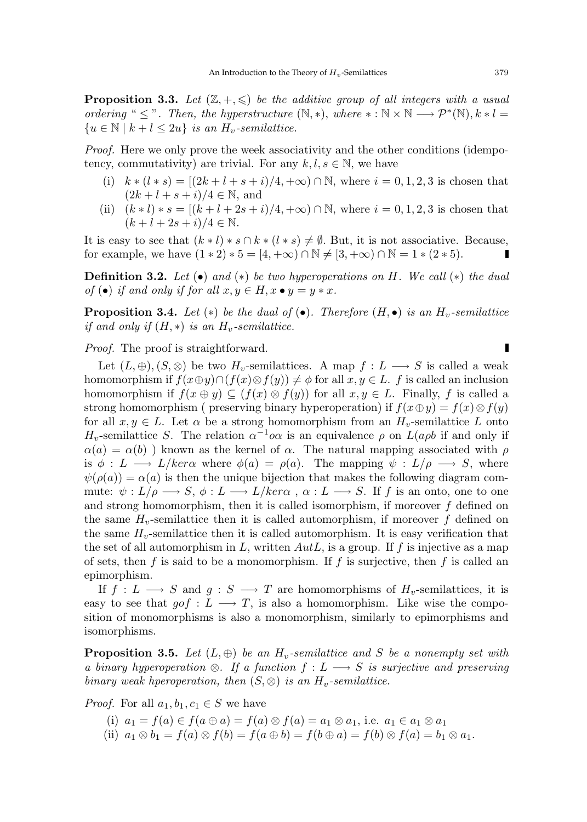**Proposition 3.3.** Let  $(\mathbb{Z}, +, \leq)$  be the additive group of all integers with a usual ordering "  $\leq$  ". Then, the hyperstructure  $(N, *)$ , where \*:  $N \times N \longrightarrow \mathcal{P}^*(N)$ ,  $k * l =$  ${u \in \mathbb{N} \mid k+l \leq 2u}$  is an  $H_v$ -semilattice.

Proof. Here we only prove the week associativity and the other conditions (idempotency, commutativity) are trivial. For any  $k, l, s \in \mathbb{N}$ , we have

- (i)  $k * (l * s) = [(2k + l + s + i)/4, +\infty) \cap \mathbb{N}$ , where  $i = 0, 1, 2, 3$  is chosen that  $(2k+l+s+i)/4 \in \mathbb{N}$ , and
- (ii)  $(k * l) * s = [(k + l + 2s + i)/4, +\infty) \cap \mathbb{N}$ , where  $i = 0, 1, 2, 3$  is chosen that  $(k+l+2s+i)/4 \in \mathbb{N}$ .

It is easy to see that  $(k * l) * s \cap k * (l * s) \neq \emptyset$ . But, it is not associative. Because, for example, we have  $(1 * 2) * 5 = [4, +\infty) \cap \mathbb{N} \neq [3, +\infty) \cap \mathbb{N} = 1 * (2 * 5).$ 

**Definition 3.2.** Let  $(\bullet)$  and  $(*)$  be two hyperoperations on H. We call  $(*)$  the dual of  $(\bullet)$  if and only if for all  $x, y \in H, x \bullet y = y * x$ .

**Proposition 3.4.** Let  $(*)$  be the dual of  $(\bullet)$ . Therefore  $(H, \bullet)$  is an  $H_v$ -semilattice if and only if  $(H, *)$  is an  $H_v$ -semilattice.

Proof. The proof is straightforward.

Let  $(L, \oplus), (S, \otimes)$  be two  $H_v$ -semilattices. A map  $f : L \longrightarrow S$  is called a weak homomorphism if  $f(x\oplus y)\cap (f(x)\otimes f(y))\neq \phi$  for all  $x, y \in L$ . f is called an inclusion homomorphism if  $f(x \oplus y) \subseteq (f(x) \otimes f(y))$  for all  $x, y \in L$ . Finally, f is called a strong homomorphism ( preserving binary hyperoperation) if  $f(x \oplus y) = f(x) \otimes f(y)$ for all  $x, y \in L$ . Let  $\alpha$  be a strong homomorphism from an  $H_v$ -semilattice L onto  $H_v$ -semilattice S. The relation  $\alpha^{-1} \infty$  is an equivalence  $\rho$  on  $L(a \rho b)$  if and only if  $\alpha(a) = \alpha(b)$ ) known as the kernel of  $\alpha$ . The natural mapping associated with  $\rho$ is  $\phi: L \longrightarrow L/ker\alpha$  where  $\phi(a) = \rho(a)$ . The mapping  $\psi: L/\rho \longrightarrow S$ , where  $\psi(\rho(a)) = \alpha(a)$  is then the unique bijection that makes the following diagram commute:  $\psi : L/\rho \longrightarrow S, \phi : L \longrightarrow L/ker\alpha$ ,  $\alpha : L \longrightarrow S$ . If f is an onto, one to one and strong homomorphism, then it is called isomorphism, if moreover  $f$  defined on the same  $H_v$ -semilattice then it is called automorphism, if moreover f defined on the same  $H_v$ -semilattice then it is called automorphism. It is easy verification that the set of all automorphism in L, written  $Aut L$ , is a group. If f is injective as a map of sets, then f is said to be a monomorphism. If f is surjective, then f is called an epimorphism.

If  $f: L \longrightarrow S$  and  $g: S \longrightarrow T$  are homomorphisms of  $H_v$ -semilattices, it is easy to see that  $qof: L \longrightarrow T$ , is also a homomorphism. Like wise the composition of monomorphisms is also a monomorphism, similarly to epimorphisms and isomorphisms.

**Proposition 3.5.** Let  $(L, \oplus)$  be an  $H_v$ -semilattice and S be a nonempty set with a binary hyperoperation  $\otimes$ . If a function  $f: L \longrightarrow S$  is surjective and preserving binary weak hperoperation, then  $(S, \otimes)$  is an  $H_v$ -semilattice.

*Proof.* For all  $a_1, b_1, c_1 \in S$  we have

(i)  $a_1 = f(a) \in f(a \oplus a) = f(a) \otimes f(a) = a_1 \otimes a_1$ , i.e.  $a_1 \in a_1 \otimes a_1$ 

(ii)  $a_1 \otimes b_1 = f(a) \otimes f(b) = f(a \oplus b) = f(b \oplus a) = f(b) \otimes f(a) = b_1 \otimes a_1$ .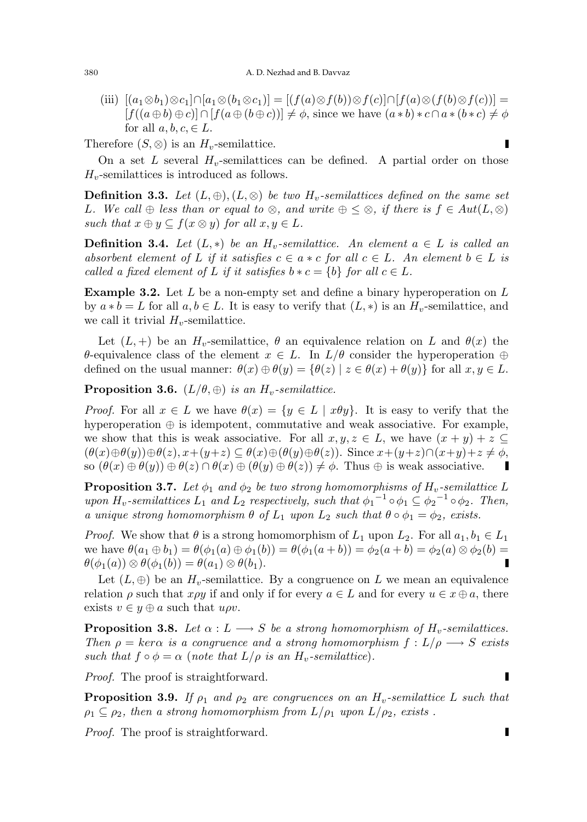(iii)  $[(a_1 \otimes b_1) \otimes c_1] \cap [a_1 \otimes (b_1 \otimes c_1)] = [(f(a) \otimes f(b)) \otimes f(c)] \cap [f(a) \otimes (f(b) \otimes f(c))] =$  $[f((a \oplus b) \oplus c)] \cap [f(a \oplus (b \oplus c))] \neq \phi$ , since we have  $(a * b) * c \cap a * (b * c) \neq \phi$ for all  $a, b, c \in L$ .

Therefore  $(S, \otimes)$  is an  $H_v$ -semilattice.

On a set  $L$  several  $H_v$ -semilattices can be defined. A partial order on those  $H_v$ -semilattices is introduced as follows.

**Definition 3.3.** Let  $(L, \oplus), (L, \otimes)$  be two  $H_v$ -semilattices defined on the same set L. We call  $\oplus$  less than or equal to  $\otimes$ , and write  $\oplus \leq \otimes$ , if there is  $f \in Aut(L, \otimes)$ such that  $x \oplus y \subseteq f(x \otimes y)$  for all  $x, y \in L$ .

**Definition 3.4.** Let  $(L, *)$  be an  $H_v$ -semilattice. An element  $a \in L$  is called an absorbent element of L if it satisfies  $c \in a * c$  for all  $c \in L$ . An element  $b \in L$  is called a fixed element of L if it satisfies  $b * c = \{b\}$  for all  $c \in L$ .

**Example 3.2.** Let  $L$  be a non-empty set and define a binary hyperoperation on  $L$ by  $a * b = L$  for all  $a, b \in L$ . It is easy to verify that  $(L, *)$  is an  $H_v$ -semilattice, and we call it trivial  $H_v$ -semilattice.

Let  $(L, +)$  be an  $H_v$ -semilattice,  $\theta$  an equivalence relation on L and  $\theta(x)$  the θ-equivalence class of the element  $x \in L$ . In  $L/\theta$  consider the hyperoperation  $\oplus$ defined on the usual manner:  $\theta(x) \oplus \theta(y) = {\theta(z) | z \in \theta(x) + \theta(y)}$  for all  $x, y \in L$ .

**Proposition 3.6.**  $(L/\theta, \oplus)$  is an  $H_v$ -semilattice.

*Proof.* For all  $x \in L$  we have  $\theta(x) = \{y \in L \mid x\theta y\}$ . It is easy to verify that the hyperoperation  $\oplus$  is idempotent, commutative and weak associative. For example, we show that this is weak associative. For all  $x, y, z \in L$ , we have  $(x + y) + z \subseteq$  $(\theta(x)\oplus\theta(y))\oplus\theta(z), x+(y+z)\subseteq\theta(x)\oplus(\theta(y)\oplus\theta(z)).$  Since  $x+(y+z)\cap(x+y)+z\neq\phi$ , so  $(\theta(x) \oplus \theta(y)) \oplus \theta(z) \cap \theta(x) \oplus (\theta(y) \oplus \theta(z)) \neq \phi$ . Thus  $\oplus$  is weak associative. Ц

**Proposition 3.7.** Let  $\phi_1$  and  $\phi_2$  be two strong homomorphisms of  $H_v$ -semilattice L upon  $H_v$ -semilattices  $L_1$  and  $L_2$  respectively, such that  $\phi_1^{-1} \circ \phi_1 \subseteq \phi_2^{-1} \circ \phi_2$ . Then, a unique strong homomorphism  $\theta$  of  $L_1$  upon  $L_2$  such that  $\theta \circ \phi_1 = \phi_2$ , exists.

*Proof.* We show that  $\theta$  is a strong homomorphism of  $L_1$  upon  $L_2$ . For all  $a_1, b_1 \in L_1$ we have  $\theta(a_1 \oplus b_1) = \theta(\phi_1(a) \oplus \phi_1(b)) = \theta(\phi_1(a+b)) = \phi_2(a+b) = \phi_2(a) \otimes \phi_2(b) =$  $\theta(\phi_1(a)) \otimes \theta(\phi_1(b)) = \theta(a_1) \otimes \theta(b_1).$ 

Let  $(L, \oplus)$  be an  $H_v$ -semilattice. By a congruence on L we mean an equivalence relation  $\rho$  such that  $x \rho y$  if and only if for every  $a \in L$  and for every  $u \in x \oplus a$ , there exists  $v \in y \oplus a$  such that  $u \rho v$ .

**Proposition 3.8.** Let  $\alpha : L \longrightarrow S$  be a strong homomorphism of  $H_v$ -semilattices. Then  $\rho = \ker \alpha$  is a congruence and a strong homomorphism  $f : L/\rho \longrightarrow S$  exists such that  $f \circ \phi = \alpha$  (note that  $L/\rho$  is an  $H_v$ -semilattice).

Proof. The proof is straightforward.

**Proposition 3.9.** If  $\rho_1$  and  $\rho_2$  are congruences on an  $H_v$ -semilattice L such that  $\rho_1 \subseteq \rho_2$ , then a strong homomorphism from  $L/\rho_1$  upon  $L/\rho_2$ , exists.

Proof. The proof is straightforward.

 $\blacksquare$ 

П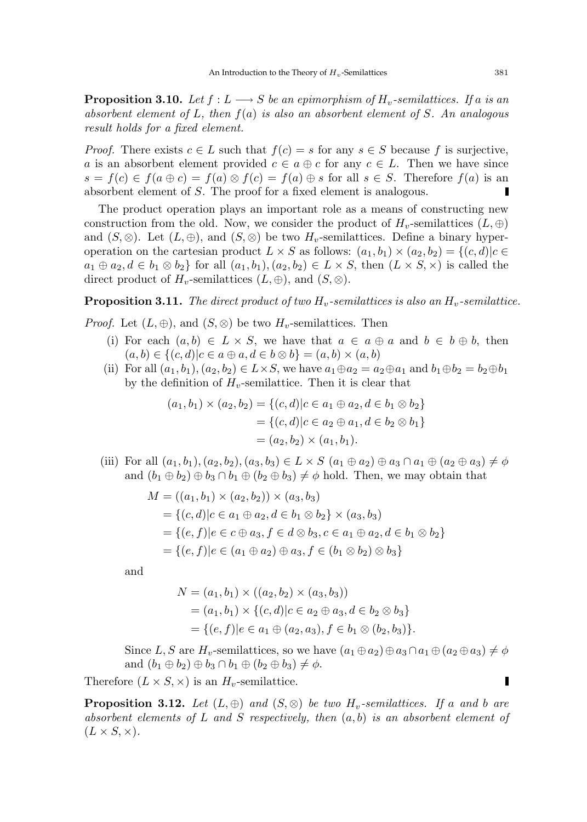**Proposition 3.10.** Let  $f : L \longrightarrow S$  be an epimorphism of  $H_v$ -semilattices. If a is an absorbent element of L, then  $f(a)$  is also an absorbent element of S. An analogous result holds for a fixed element.

*Proof.* There exists  $c \in L$  such that  $f(c) = s$  for any  $s \in S$  because f is surjective, a is an absorbent element provided  $c \in a \oplus c$  for any  $c \in L$ . Then we have since  $s = f(c) \in f(a \oplus c) = f(a) \otimes f(c) = f(a) \oplus s$  for all  $s \in S$ . Therefore  $f(a)$  is an absorbent element of S. The proof for a fixed element is analogous.

The product operation plays an important role as a means of constructing new construction from the old. Now, we consider the product of  $H_v$ -semilattices  $(L, \oplus)$ and  $(S, \otimes)$ . Let  $(L, \oplus)$ , and  $(S, \otimes)$  be two  $H_v$ -semilattices. Define a binary hyperoperation on the cartesian product  $L \times S$  as follows:  $(a_1, b_1) \times (a_2, b_2) = \{(c, d) | c \in$  $a_1 \oplus a_2, d \in b_1 \otimes b_2$  for all  $(a_1, b_1), (a_2, b_2) \in L \times S$ , then  $(L \times S, \times)$  is called the direct product of  $H_v$ -semilattices  $(L, \oplus)$ , and  $(S, \otimes)$ .

**Proposition 3.11.** The direct product of two  $H_v$ -semilattices is also an  $H_v$ -semilattice.

*Proof.* Let  $(L, \oplus)$ , and  $(S, \otimes)$  be two  $H_v$ -semilattices. Then

- (i) For each  $(a, b) \in L \times S$ , we have that  $a \in a \oplus a$  and  $b \in b \oplus b$ , then  $(a, b) \in \{ (c, d) | c \in a \oplus a, d \in b \otimes b \} = (a, b) \times (a, b)$
- (ii) For all  $(a_1, b_1), (a_2, b_2) \in L \times S$ , we have  $a_1 \oplus a_2 = a_2 \oplus a_1$  and  $b_1 \oplus b_2 = b_2 \oplus b_1$ by the definition of  $H_v$ -semilattice. Then it is clear that

$$
(a_1, b_1) \times (a_2, b_2) = \{ (c, d) | c \in a_1 \oplus a_2, d \in b_1 \otimes b_2 \}
$$
  
=  $\{ (c, d) | c \in a_2 \oplus a_1, d \in b_2 \otimes b_1 \}$   
=  $(a_2, b_2) \times (a_1, b_1).$ 

(iii) For all  $(a_1, b_1), (a_2, b_2), (a_3, b_3) \in L \times S$   $(a_1 \oplus a_2) \oplus a_3 \cap a_1 \oplus (a_2 \oplus a_3) \neq \emptyset$ and  $(b_1 \oplus b_2) \oplus b_3 \cap b_1 \oplus (b_2 \oplus b_3) \neq \emptyset$  hold. Then, we may obtain that

$$
M = ((a_1, b_1) \times (a_2, b_2)) \times (a_3, b_3)
$$
  
= { $(c, d) | c \in a_1 \oplus a_2, d \in b_1 \otimes b_2$ } \times (a\_3, b\_3)  
= { $(e, f) | e \in c \oplus a_3, f \in d \otimes b_3, c \in a_1 \oplus a_2, d \in b_1 \otimes b_2$ }  
= { $(e, f) | e \in (a_1 \oplus a_2) \oplus a_3, f \in (b_1 \otimes b_2) \otimes b_3$ }

and

$$
N = (a_1, b_1) \times ((a_2, b_2) \times (a_3, b_3))
$$
  
=  $(a_1, b_1) \times \{(c, d) | c \in a_2 \oplus a_3, d \in b_2 \otimes b_3\}$   
=  $\{(e, f) | e \in a_1 \oplus (a_2, a_3), f \in b_1 \otimes (b_2, b_3)\}.$ 

Since L, S are H<sub>v</sub>-semilattices, so we have  $(a_1 \oplus a_2) \oplus a_3 \cap a_1 \oplus (a_2 \oplus a_3) \neq \phi$ and  $(b_1 \oplus b_2) \oplus b_3 \cap b_1 \oplus (b_2 \oplus b_3) \neq \phi$ .

Therefore  $(L \times S, \times)$  is an  $H_v$ -semilattice.

**Proposition 3.12.** Let  $(L, \oplus)$  and  $(S, \otimes)$  be two  $H_v$ -semilattices. If a and b are absorbent elements of L and S respectively, then  $(a, b)$  is an absorbent element of  $(L \times S, \times).$ 

 $\blacksquare$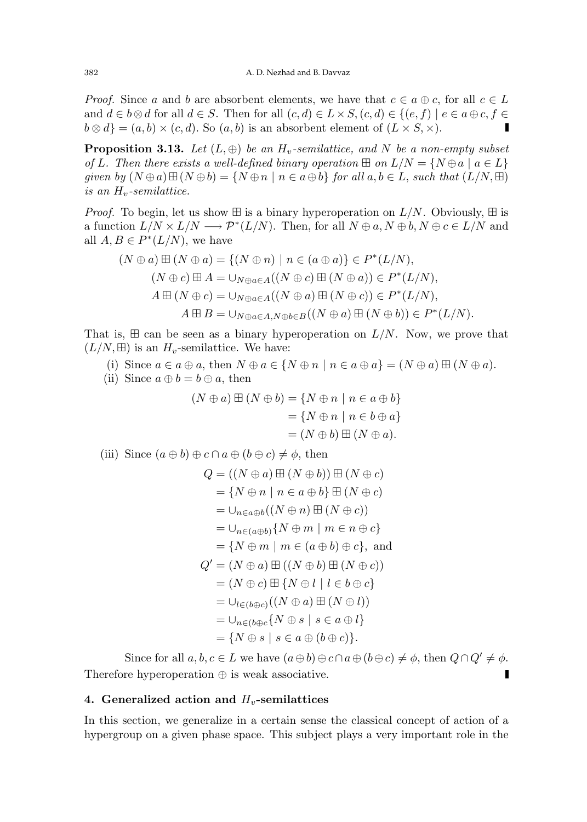*Proof.* Since a and b are absorbent elements, we have that  $c \in a \oplus c$ , for all  $c \in L$ and  $d \in b \otimes d$  for all  $d \in S$ . Then for all  $(c, d) \in L \times S$ ,  $(c, d) \in \{ (e, f) \mid e \in a \oplus c, f \in$  $b \otimes d$  =  $(a, b) \times (c, d)$ . So  $(a, b)$  is an absorbent element of  $(L \times S, \times)$ .

**Proposition 3.13.** Let  $(L, \oplus)$  be an  $H_v$ -semilattice, and N be a non-empty subset of L. Then there exists a well-defined binary operation  $\boxplus$  on  $L/N = \{N \oplus a \mid a \in L\}$ given by  $(N \oplus a) \boxplus (N \oplus b) = \{N \oplus n \mid n \in a \oplus b\}$  for all  $a, b \in L$ , such that  $(L/N, \boxplus)$ is an  $H_v$ -semilattice.

*Proof.* To begin, let us show  $\boxplus$  is a binary hyperoperation on  $L/N$ . Obviously,  $\boxplus$  is a function  $L/N \times L/N \longrightarrow \mathcal{P}^*(L/N)$ . Then, for all  $N \oplus a, N \oplus b, N \oplus c \in L/N$  and all  $A, B \in P^*(L/N)$ , we have

$$
(N \oplus a) \boxplus (N \oplus a) = \{(N \oplus n) \mid n \in (a \oplus a)\} \in P^*(L/N),
$$
  
\n
$$
(N \oplus c) \boxplus A = \cup_{N \oplus a \in A} ((N \oplus c) \boxplus (N \oplus a)) \in P^*(L/N),
$$
  
\n
$$
A \boxplus (N \oplus c) = \cup_{N \oplus a \in A} ((N \oplus a) \boxplus (N \oplus c)) \in P^*(L/N),
$$
  
\n
$$
A \boxplus B = \cup_{N \oplus a \in A, N \oplus b \in B} ((N \oplus a) \boxplus (N \oplus b)) \in P^*(L/N).
$$

That is,  $\boxplus$  can be seen as a binary hyperoperation on  $L/N$ . Now, we prove that  $(L/N, \boxplus)$  is an  $H_v$ -semilattice. We have:

(i) Since  $a \in a \oplus a$ , then  $N \oplus a \in \{N \oplus n \mid n \in a \oplus a\} = (N \oplus a) \boxplus (N \oplus a)$ .

(ii) Since  $a \oplus b = b \oplus a$ , then

$$
(N \oplus a) \boxplus (N \oplus b) = \{N \oplus n \mid n \in a \oplus b\}
$$
  
=  $\{N \oplus n \mid n \in b \oplus a\}$   
=  $(N \oplus b) \boxplus (N \oplus a).$ 

(iii) Since 
$$
(a \oplus b) \oplus c \cap a \oplus (b \oplus c) \neq \phi
$$
, then

$$
Q = ((N \oplus a) \boxplus (N \oplus b)) \boxplus (N \oplus c)
$$
  
= {N \oplus n | n \in a \oplus b} \boxplus (N \oplus c)  
=  $\cup_{n \in a \oplus b} ((N \oplus n) \boxplus (N \oplus c))$   
=  $\cup_{n \in (a \oplus b)} {N \oplus m | m \in n \oplus c}$   
= {N \oplus m | m \in (a \oplus b) \oplus c}, and  

$$
Q' = (N \oplus a) \boxplus ((N \oplus b) \boxplus (N \oplus c))
$$
  
=  $(N \oplus c) \boxplus {N \oplus l | l \in b \oplus c}$   
=  $\cup_{l \in (b \oplus c)} ((N \oplus a) \boxplus (N \oplus l))$   
=  $\cup_{n \in (b \oplus c)} {N \oplus s | s \in a \oplus l}$   
= {N \oplus s | s \in a \oplus (b \oplus c)}.

Since for all  $a, b, c \in L$  we have  $(a \oplus b) \oplus c \cap a \oplus (b \oplus c) \neq \emptyset$ , then  $Q \cap Q' \neq \emptyset$ . Therefore hyperoperation  $\oplus$  is weak associative.

#### 4. Generalized action and  $H_v$ -semilattices

In this section, we generalize in a certain sense the classical concept of action of a hypergroup on a given phase space. This subject plays a very important role in the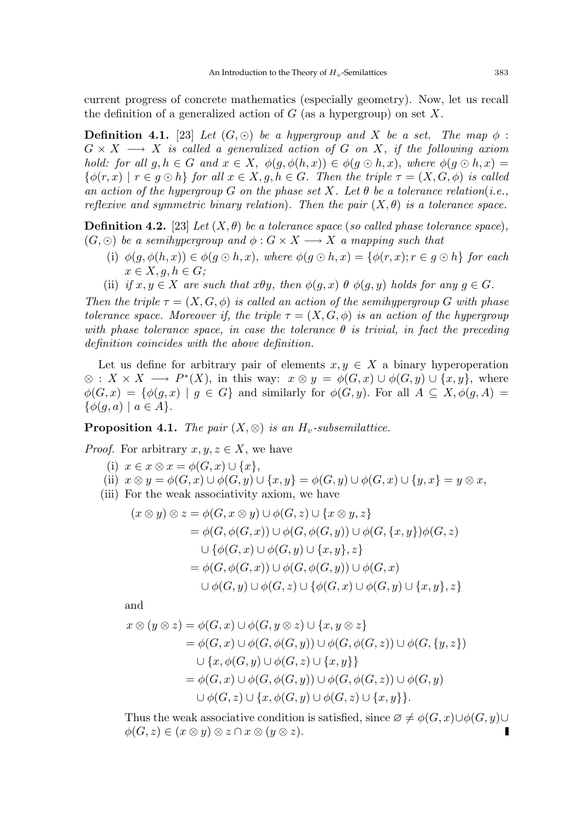current progress of concrete mathematics (especially geometry). Now, let us recall the definition of a generalized action of  $G$  (as a hypergroup) on set  $X$ .

**Definition 4.1.** [23] Let  $(G, \odot)$  be a hypergroup and X be a set. The map  $\phi$ :  $G \times X \longrightarrow X$  is called a generalized action of G on X, if the following axiom hold: for all  $g, h \in G$  and  $x \in X$ ,  $\phi(g, \phi(h, x)) \in \phi(g \odot h, x)$ , where  $\phi(g \odot h, x) =$  $\{\phi(r,x) \mid r \in q \odot h\}$  for all  $x \in X, q, h \in G$ . Then the triple  $\tau = (X, G, \phi)$  is called an action of the hypergroup G on the phase set X. Let  $\theta$  be a tolerance relation(i.e., reflexive and symmetric binary relation). Then the pair  $(X, \theta)$  is a tolerance space.

**Definition 4.2.** [23] Let  $(X, \theta)$  be a tolerance space (so called phase tolerance space),  $(G, \odot)$  be a semihypergroup and  $\phi : G \times X \longrightarrow X$  a mapping such that

- (i)  $\phi(q, \phi(h, x)) \in \phi(q \odot h, x)$ , where  $\phi(q \odot h, x) = \{\phi(r, x); r \in q \odot h\}$  for each  $x \in X, g, h \in G;$
- (ii) if  $x, y \in X$  are such that  $x\theta y$ , then  $\phi(g, x)$   $\theta$   $\phi(g, y)$  holds for any  $g \in G$ .

Then the triple  $\tau = (X, G, \phi)$  is called an action of the semihypergroup G with phase tolerance space. Moreover if, the triple  $\tau = (X, G, \phi)$  is an action of the hypergroup with phase tolerance space, in case the tolerance  $\theta$  is trivial, in fact the preceding definition coincides with the above definition.

Let us define for arbitrary pair of elements  $x, y \in X$  a binary hyperoperation  $\otimes$  :  $X \times X \longrightarrow P^*(X)$ , in this way:  $x \otimes y = \phi(G, x) \cup \phi(G, y) \cup \{x, y\}$ , where  $\phi(G, x) = \{\phi(g, x) \mid g \in G\}$  and similarly for  $\phi(G, y)$ . For all  $A \subseteq X, \phi(g, A) =$  $\{\phi(q,a) \mid a \in A\}.$ 

**Proposition 4.1.** The pair  $(X, \otimes)$  is an  $H_v$ -subsemilattice.

*Proof.* For arbitrary  $x, y, z \in X$ , we have

- (i)  $x \in x \otimes x = \phi(G, x) \cup \{x\},\$
- (ii)  $x \otimes y = \phi(G, x) \cup \phi(G, y) \cup \{x, y\} = \phi(G, y) \cup \phi(G, x) \cup \{y, x\} = y \otimes x$ ,
- (iii) For the weak associativity axiom, we have

$$
(x \otimes y) \otimes z = \phi(G, x \otimes y) \cup \phi(G, z) \cup \{x \otimes y, z\}
$$
  
=  $\phi(G, \phi(G, x)) \cup \phi(G, \phi(G, y)) \cup \phi(G, \{x, y\})\phi(G, z)$   

$$
\cup \{\phi(G, x) \cup \phi(G, y) \cup \{x, y\}, z\}
$$
  
=  $\phi(G, \phi(G, x)) \cup \phi(G, \phi(G, y)) \cup \phi(G, x)$   

$$
\cup \phi(G, y) \cup \phi(G, z) \cup \{\phi(G, x) \cup \phi(G, y) \cup \{x, y\}, z\}
$$

and

$$
x \otimes (y \otimes z) = \phi(G, x) \cup \phi(G, y \otimes z) \cup \{x, y \otimes z\}
$$
  
\n
$$
= \phi(G, x) \cup \phi(G, \phi(G, y)) \cup \phi(G, \phi(G, z)) \cup \phi(G, \{y, z\})
$$
  
\n
$$
\cup \{x, \phi(G, y) \cup \phi(G, z) \cup \{x, y\}\}
$$
  
\n
$$
= \phi(G, x) \cup \phi(G, \phi(G, y)) \cup \phi(G, \phi(G, z)) \cup \phi(G, y)
$$
  
\n
$$
\cup \phi(G, z) \cup \{x, \phi(G, y) \cup \phi(G, z) \cup \{x, y\}\}.
$$

Thus the weak associative condition is satisfied, since  $\emptyset \neq \phi(G, x) \cup \phi(G, y) \cup$  $\phi(G, z) \in (x \otimes y) \otimes z \cap x \otimes (y \otimes z).$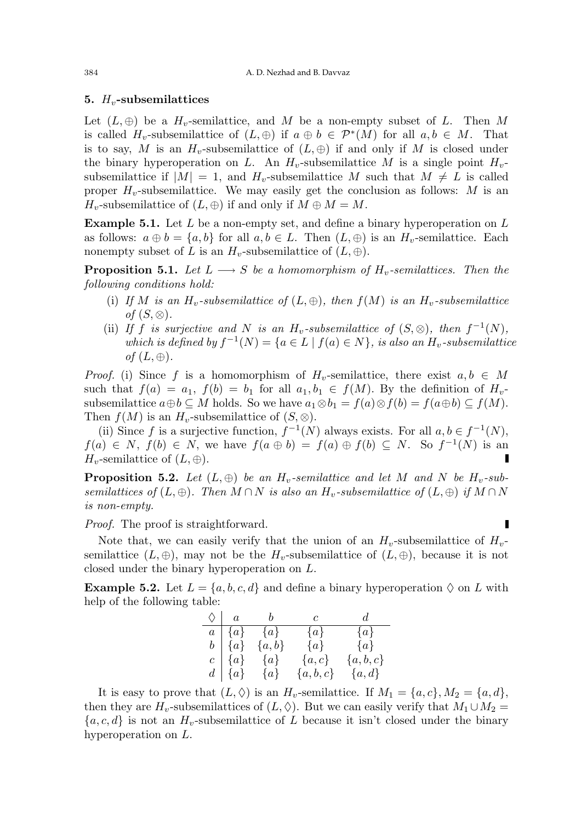#### 5.  $H_v$ -subsemilattices

Let  $(L, \oplus)$  be a  $H_v$ -semilattice, and M be a non-empty subset of L. Then M is called  $H_v$ -subsemilattice of  $(L, \oplus)$  if  $a \oplus b \in \mathcal{P}^*(M)$  for all  $a, b \in M$ . That is to say, M is an  $H_v$ -subsemilattice of  $(L, \oplus)$  if and only if M is closed under the binary hyperoperation on L. An  $H_v$ -subsemilattice M is a single point  $H_v$ subsemilattice if  $|M| = 1$ , and  $H_v$ -subsemilattice M such that  $M \neq L$  is called proper  $H_v$ -subsemilattice. We may easily get the conclusion as follows: M is an  $H_v$ -subsemilattice of  $(L, \oplus)$  if and only if  $M \oplus M = M$ .

**Example 5.1.** Let  $L$  be a non-empty set, and define a binary hyperoperation on  $L$ as follows:  $a \oplus b = \{a, b\}$  for all  $a, b \in L$ . Then  $(L, \oplus)$  is an  $H_v$ -semilattice. Each nonempty subset of L is an  $H_v$ -subsemilattice of  $(L, \oplus)$ .

**Proposition 5.1.** Let  $L \longrightarrow S$  be a homomorphism of  $H_v$ -semilattices. Then the following conditions hold:

- (i) If M is an  $H_v$ -subsemilattice of  $(L, \oplus)$ , then  $f(M)$  is an  $H_v$ -subsemilattice of  $(S, \otimes)$ .
- (ii) If f is surjective and N is an  $H_v$ -subsemilattice of  $(S, \otimes)$ , then  $f^{-1}(N)$ , which is defined by  $f^{-1}(N) = \{a \in L \mid f(a) \in N\}$ , is also an  $H_v$ -subsemilattice of  $(L, \oplus)$ .

*Proof.* (i) Since f is a homomorphism of  $H_v$ -semilattice, there exist  $a, b \in M$ such that  $f(a) = a_1$ ,  $f(b) = b_1$  for all  $a_1, b_1 \in f(M)$ . By the definition of  $H_{v}$ subsemilattice  $a \oplus b \subseteq M$  holds. So we have  $a_1 \otimes b_1 = f(a) \otimes f(b) = f(a \oplus b) \subseteq f(M)$ . Then  $f(M)$  is an  $H_v$ -subsemilattice of  $(S, \otimes)$ .

(ii) Since f is a surjective function,  $f^{-1}(N)$  always exists. For all  $a, b \in f^{-1}(N)$ ,  $f(a) \in N$ ,  $f(b) \in N$ , we have  $f(a \oplus b) = f(a) \oplus f(b) \subseteq N$ . So  $f^{-1}(N)$  is an  $H_v$ -semilattice of  $(L, \oplus)$ .

**Proposition 5.2.** Let  $(L, \oplus)$  be an  $H_v$ -semilattice and let M and N be  $H_v$ -subsemilattices of  $(L, \oplus)$ . Then  $M \cap N$  is also an  $H_v$ -subsemilattice of  $(L, \oplus)$  if  $M \cap N$ is non-empty.

Г

Proof. The proof is straightforward.

Note that, we can easily verify that the union of an  $H_v$ -subsemilattice of  $H_v$ semilattice  $(L, \oplus)$ , may not be the  $H_v$ -subsemilattice of  $(L, \oplus)$ , because it is not closed under the binary hyperoperation on L.

**Example 5.2.** Let  $L = \{a, b, c, d\}$  and define a binary hyperoperation  $\Diamond$  on L with help of the following table:

| $\Diamond$   a | $\overline{b}$             | $\overline{c}$ | $\overline{d}$ |
|----------------|----------------------------|----------------|----------------|
|                | $a \mid \{a\} \quad \{a\}$ | $\{a\}$        | $\{a\}$        |
| $b \mid \{a\}$ | ${a,b}$                    | $\{a\}$        | $\{a\}$        |
| $c \mid \{a\}$ | $\{a\}$                    | $\{a,c\}$      | ${a,b,c}$      |
| $d \mid \{a\}$ | $\{a\}$                    | $\{a, b, c\}$  | $\{a,d\}$      |

It is easy to prove that  $(L, \Diamond)$  is an  $H_v$ -semilattice. If  $M_1 = \{a, c\}, M_2 = \{a, d\},\$ then they are  $H_v$ -subsemilattices of  $(L, \Diamond)$ . But we can easily verify that  $M_1 \cup M_2 =$  ${a, c, d}$  is not an  $H_v$ -subsemilattice of L because it isn't closed under the binary hyperoperation on L.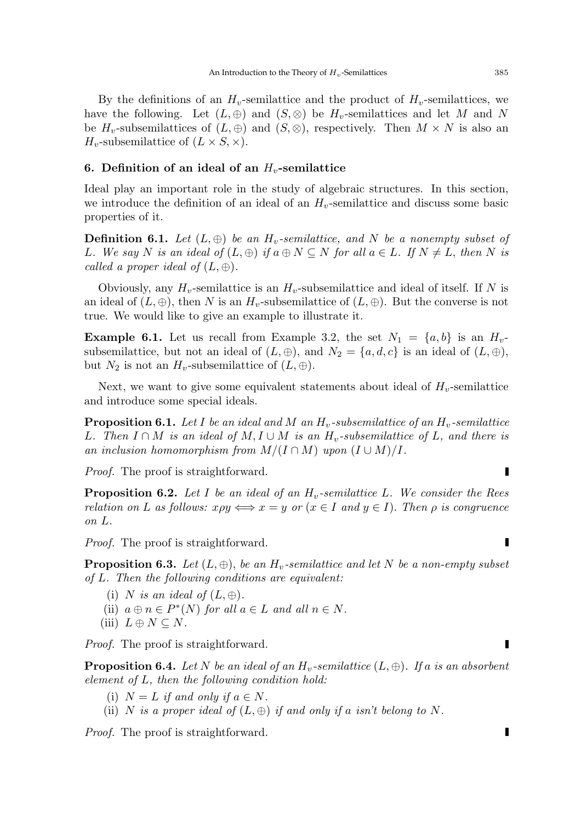By the definitions of an  $H_v$ -semilattice and the product of  $H_v$ -semilattices, we have the following. Let  $(L, \oplus)$  and  $(S, \otimes)$  be  $H_v$ -semilattices and let M and N be  $H_v$ -subsemilattices of  $(L, \oplus)$  and  $(S, \otimes)$ , respectively. Then  $M \times N$  is also an  $H_v$ -subsemilattice of  $(L \times S, \times)$ .

# 6. Definition of an ideal of an  $H_v$ -semilattice

Ideal play an important role in the study of algebraic structures. In this section, we introduce the definition of an ideal of an  $H_v$ -semilattice and discuss some basic properties of it.

**Definition 6.1.** Let  $(L, \oplus)$  be an  $H_v$ -semilattice, and N be a nonempty subset of L. We say N is an ideal of  $(L, \oplus)$  if  $a \oplus N \subseteq N$  for all  $a \in L$ . If  $N \neq L$ , then N is called a proper ideal of  $(L, \oplus)$ .

Obviously, any  $H_v$ -semilattice is an  $H_v$ -subsemilattice and ideal of itself. If N is an ideal of  $(L, \oplus)$ , then N is an  $H_v$ -subsemilattice of  $(L, \oplus)$ . But the converse is not true. We would like to give an example to illustrate it.

**Example 6.1.** Let us recall from Example 3.2, the set  $N_1 = \{a, b\}$  is an  $H_v$ subsemilattice, but not an ideal of  $(L, \oplus)$ , and  $N_2 = \{a, d, c\}$  is an ideal of  $(L, \oplus)$ , but  $N_2$  is not an  $H_v$ -subsemilattice of  $(L, \oplus)$ .

Next, we want to give some equivalent statements about ideal of  $H_v$ -semilattice and introduce some special ideals.

**Proposition 6.1.** Let I be an ideal and M an  $H_v$ -subsemilattice of an  $H_v$ -semilattice L. Then  $I \cap M$  is an ideal of  $M, I \cup M$  is an  $H_v$ -subsemilattice of L, and there is an inclusion homomorphism from  $M/(I \cap M)$  upon  $(I \cup M)/I$ .

Proof. The proof is straightforward.

**Proposition 6.2.** Let I be an ideal of an  $H_v$ -semilattice L. We consider the Rees relation on L as follows:  $x \rho y \iff x = y$  or  $(x \in I \text{ and } y \in I)$ . Then  $\rho$  is congruence on L.

Proof. The proof is straightforward.

**Proposition 6.3.** Let  $(L, \oplus)$ , be an  $H_v$ -semilattice and let N be a non-empty subset of L. Then the following conditions are equivalent:

- (i) N is an ideal of  $(L, \oplus)$ .
- (ii)  $a \oplus n \in P^*(N)$  for all  $a \in L$  and all  $n \in N$ .
- (iii)  $L \oplus N \subseteq N$ .

Proof. The proof is straightforward.

**Proposition 6.4.** Let N be an ideal of an  $H_v$ -semilattice  $(L, \oplus)$ . If a is an absorbent element of L, then the following condition hold:

- (i)  $N = L$  if and only if  $a \in N$ .
- (ii) N is a proper ideal of  $(L, \oplus)$  if and only if a isn't belong to N.

Proof. The proof is straightforward.

Г

Г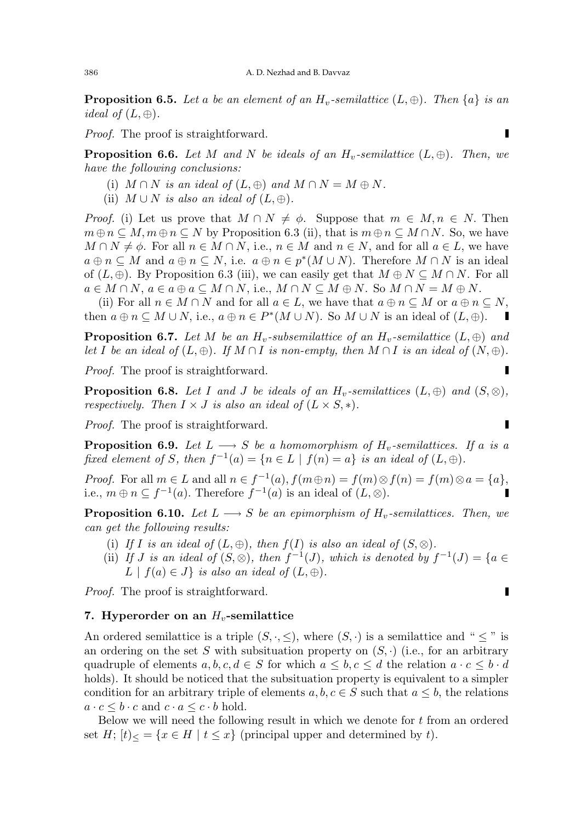**Proposition 6.5.** Let a be an element of an  $H_v$ -semilattice  $(L, \oplus)$ . Then  $\{a\}$  is an *ideal of*  $(L, \oplus)$ .

Proof. The proof is straightforward.

**Proposition 6.6.** Let M and N be ideals of an  $H_v$ -semilattice  $(L, \oplus)$ . Then, we have the following conclusions:

- (i)  $M \cap N$  is an ideal of  $(L, \oplus)$  and  $M \cap N = M \oplus N$ .
- (ii)  $M \cup N$  is also an ideal of  $(L, \oplus)$ .

*Proof.* (i) Let us prove that  $M \cap N \neq \emptyset$ . Suppose that  $m \in M, n \in N$ . Then  $m \oplus n \subseteq M, m \oplus n \subseteq N$  by Proposition 6.3 (ii), that is  $m \oplus n \subseteq M \cap N$ . So, we have  $M \cap N \neq \emptyset$ . For all  $n \in M \cap N$ , i.e.,  $n \in M$  and  $n \in N$ , and for all  $a \in L$ , we have  $a \oplus n \subseteq M$  and  $a \oplus n \subseteq N$ , i.e.  $a \oplus n \in p^*(M \cup N)$ . Therefore  $M \cap N$  is an ideal of  $(L, \oplus)$ . By Proposition 6.3 (iii), we can easily get that  $M \oplus N \subseteq M \cap N$ . For all  $a \in M \cap N$ ,  $a \in a \oplus a \subseteq M \cap N$ , i.e.,  $M \cap N \subseteq M \oplus N$ . So  $M \cap N = M \oplus N$ .

(ii) For all  $n \in M \cap N$  and for all  $a \in L$ , we have that  $a \oplus n \subseteq M$  or  $a \oplus n \subseteq N$ , then  $a \oplus n \subseteq M \cup N$ , i.e.,  $a \oplus n \in P^*(M \cup N)$ . So  $M \cup N$  is an ideal of  $(L, \oplus)$ . П

**Proposition 6.7.** Let M be an  $H_v$ -subsemilattice of an  $H_v$ -semilattice  $(L, \oplus)$  and let I be an ideal of  $(L, \oplus)$ . If  $M \cap I$  is non-empty, then  $M \cap I$  is an ideal of  $(N, \oplus)$ .

Proof. The proof is straightforward.

**Proposition 6.8.** Let I and J be ideals of an  $H_v$ -semilattices  $(L, \oplus)$  and  $(S, \otimes)$ , respectively. Then  $I \times J$  is also an ideal of  $(L \times S, *)$ .

Proof. The proof is straightforward.

**Proposition 6.9.** Let  $L \longrightarrow S$  be a homomorphism of  $H_v$ -semilattices. If a is a fixed element of S, then  $f^{-1}(a) = \{n \in L \mid f(n) = a\}$  is an ideal of  $(L, \oplus)$ .

*Proof.* For all  $m \in L$  and all  $n \in f^{-1}(a)$ ,  $f(m \oplus n) = f(m) \otimes f(n) = f(m) \otimes a = \{a\}$ , i.e.,  $m \oplus n \subseteq f^{-1}(a)$ . Therefore  $f^{-1}(a)$  is an ideal of  $(L, \otimes)$ .

**Proposition 6.10.** Let  $L \longrightarrow S$  be an epimorphism of H<sub>u</sub>-semilattices. Then, we can get the following results:

- (i) If I is an ideal of  $(L, \oplus)$ , then  $f(I)$  is also an ideal of  $(S, \otimes)$ .
- (ii) If J is an ideal of  $(S, \otimes)$ , then  $f^{-1}(J)$ , which is denoted by  $f^{-1}(J) = \{a \in$  $L \mid f(a) \in J$  is also an ideal of  $(L, \oplus)$ .

Proof. The proof is straightforward.

#### 7. Hyperorder on an  $H_v$ -semilattice

An ordered semilattice is a triple  $(S, \cdot, \leq)$ , where  $(S, \cdot)$  is a semilattice and " $\leq$ " is an ordering on the set S with subsituation property on  $(S, \cdot)$  (i.e., for an arbitrary quadruple of elements  $a, b, c, d \in S$  for which  $a \leq b, c \leq d$  the relation  $a \cdot c \leq b \cdot d$ holds). It should be noticed that the subsituation property is equivalent to a simpler condition for an arbitrary triple of elements  $a, b, c \in S$  such that  $a \leq b$ , the relations  $a \cdot c \leq b \cdot c$  and  $c \cdot a \leq c \cdot b$  hold.

Below we will need the following result in which we denote for t from an ordered set H;  $[t]_{\leq}$  = { $x \in H | t \leq x$ } (principal upper and determined by t).

$$
\blacksquare
$$

$$
\overline{a}
$$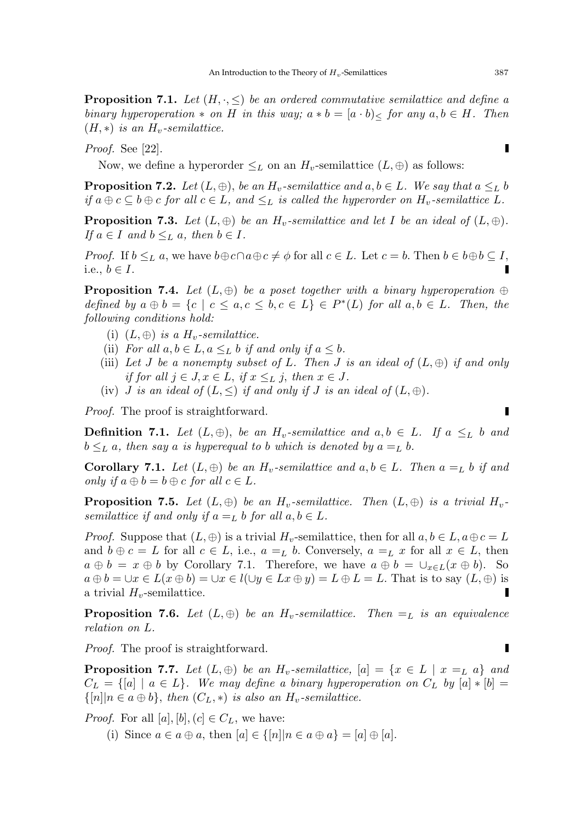**Proposition 7.1.** Let  $(H, \cdot, \leq)$  be an ordered commutative semilattice and define a binary hyperoperation  $*$  on H in this way;  $a * b = [a \cdot b] \times$  for any  $a, b \in H$ . Then  $(H, *)$  is an  $H_v$ -semilattice.

Proof. See [22].

Now, we define a hyperorder  $\leq_L$  on an  $H_v$ -semilattice  $(L, \oplus)$  as follows:

**Proposition 7.2.** Let  $(L, \oplus)$ , be an  $H_v$ -semilattice and  $a, b \in L$ . We say that  $a \leq_L b$ if  $a \oplus c \subseteq b \oplus c$  for all  $c \in L$ , and  $\leq_L$  is called the hyperorder on  $H_v$ -semilattice L.

**Proposition 7.3.** Let  $(L, \oplus)$  be an  $H_v$ -semilattice and let I be an ideal of  $(L, \oplus)$ . If  $a \in I$  and  $b \leq_L a$ , then  $b \in I$ .

*Proof.* If  $b \leq_L a$ , we have  $b \oplus c \cap a \oplus c \neq \phi$  for all  $c \in L$ . Let  $c = b$ . Then  $b \in b \oplus b \subseteq I$ , i.e.,  $b \in I$ .

**Proposition 7.4.** Let  $(L, \oplus)$  be a poset together with a binary hyperoperation  $\oplus$ defined by  $a \oplus b = \{c \mid c \le a, c \le b, c \in L\} \in P^*(L)$  for all  $a, b \in L$ . Then, the following conditions hold:

- (i)  $(L, \oplus)$  is a  $H_v$ -semilattice.
- (ii) For all  $a, b \in L$ ,  $a \leq_L b$  if and only if  $a \leq b$ .
- (iii) Let J be a nonempty subset of L. Then J is an ideal of  $(L, \oplus)$  if and only if for all  $j \in J$ ,  $x \in L$ , if  $x \leq_L j$ , then  $x \in J$ .
- (iv) *J* is an ideal of  $(L, \leq)$  if and only if *J* is an ideal of  $(L, \oplus)$ .

Proof. The proof is straightforward.

**Definition 7.1.** Let  $(L, \oplus)$ , be an  $H_v$ -semilattice and  $a, b \in L$ . If  $a \leq_L b$  and  $b \leq_L a$ , then say a is hyperequal to b which is denoted by  $a =_L b$ .

**Corollary 7.1.** Let  $(L, \oplus)$  be an  $H_v$ -semilattice and  $a, b \in L$ . Then  $a =_L b$  if and only if  $a \oplus b = b \oplus c$  for all  $c \in L$ .

**Proposition 7.5.** Let  $(L, \oplus)$  be an  $H_v$ -semilattice. Then  $(L, \oplus)$  is a trivial  $H_v$ semilattice if and only if  $a =_L b$  for all  $a, b \in L$ .

*Proof.* Suppose that  $(L, \oplus)$  is a trivial  $H_v$ -semilattice, then for all  $a, b \in L$ ,  $a \oplus c = L$ and  $b \oplus c = L$  for all  $c \in L$ , i.e.,  $a =_L b$ . Conversely,  $a =_L x$  for all  $x \in L$ , then  $a \oplus b = x \oplus b$  by Corollary 7.1. Therefore, we have  $a \oplus b = \bigcup_{x \in L}(x \oplus b)$ . So  $a \oplus b = \cup x \in L(x \oplus b) = \cup x \in l(\cup y \in Lx \oplus y) = L \oplus L = L$ . That is to say  $(L, \oplus)$  is a trivial  $H_v$ -semilattice. Г

**Proposition 7.6.** Let  $(L, \oplus)$  be an  $H_v$ -semilattice. Then  $=_L$  is an equivalence relation on L.

Proof. The proof is straightforward.

**Proposition 7.7.** Let  $(L, \oplus)$  be an  $H_v$ -semilattice,  $[a] = \{x \in L \mid x =_L a\}$  and  $C_L = \{ [a] \mid a \in L \}$ . We may define a binary hyperoperation on  $C_L$  by  $[a] * [b] =$  $\{|n| | n \in a \oplus b\}$ , then  $(C_L, *)$  is also an  $H_v$ -semilattice.

*Proof.* For all  $[a], [b], (c] \in C_L$ , we have:

(i) Since  $a \in a \oplus a$ , then  $[a] \in \{ [n] | n \in a \oplus a \} = [a] \oplus [a]$ .

Г

 $\blacksquare$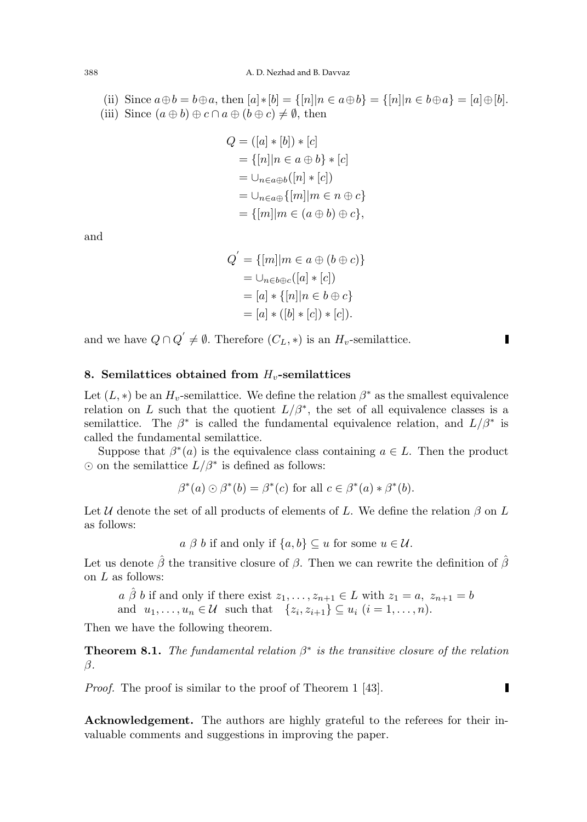(ii) Since  $a \oplus b = b \oplus a$ , then  $[a] * [b] = \{ [n] | n \in a \oplus b \} = \{ [n] | n \in b \oplus a \} = [a] \oplus [b]$ . (iii) Since  $(a \oplus b) \oplus c \cap a \oplus (b \oplus c) \neq \emptyset$ , then

$$
Q = ([a] * [b]) * [c]
$$
  
= {[n] | n ∈ a ⊕ b} \* [c]  
=  $\cup_{n \in a \oplus b} ([n] * [c])$   
=  $\cup_{n \in a \oplus} \{ [m] | m \in n \oplus c \}$   
= {[m] | m ∈ (a ⊕ b) ⊕ c},

and

$$
Q' = \{ [m] | m \in a \oplus (b \oplus c) \}
$$
  
=  $\cup_{n \in b \oplus c} ([a] * [c])$   
=  $[a] * \{ [n] | n \in b \oplus c \}$   
=  $[a] * ([b] * [c]) * [c]).$ 

and we have  $Q \cap Q' \neq \emptyset$ . Therefore  $(C_L, *)$  is an  $H_v$ -semilattice.

# 8. Semilattices obtained from  $H_v$ -semilattices

Let  $(L, *)$  be an  $H_v$ -semilattice. We define the relation  $\beta^*$  as the smallest equivalence relation on L such that the quotient  $L/\beta^*$ , the set of all equivalence classes is a semilattice. The  $\beta^*$  is called the fundamental equivalence relation, and  $L/\beta^*$  is called the fundamental semilattice.

Suppose that  $\beta^*(a)$  is the equivalence class containing  $a \in L$ . Then the product  $\odot$  on the semilattice  $L/\beta^*$  is defined as follows:

$$
\beta^*(a) \odot \beta^*(b) = \beta^*(c) \text{ for all } c \in \beta^*(a) * \beta^*(b).
$$

Let U denote the set of all products of elements of L. We define the relation  $\beta$  on L as follows:

 $a \beta b$  if and only if  $\{a, b\} \subseteq u$  for some  $u \in \mathcal{U}$ .

Let us denote  $\hat{\beta}$  the transitive closure of  $\beta$ . Then we can rewrite the definition of  $\hat{\beta}$ on  $L$  as follows:

 $a \hat{\beta} b$  if and only if there exist  $z_1, \ldots, z_{n+1} \in L$  with  $z_1 = a, z_{n+1} = b$ and  $u_1, \ldots, u_n \in \mathcal{U}$  such that  $\{z_i, z_{i+1}\} \subseteq u_i$   $(i = 1, \ldots, n)$ .

Then we have the following theorem.

**Theorem 8.1.** The fundamental relation  $\beta^*$  is the transitive closure of the relation β.

Proof. The proof is similar to the proof of Theorem 1 [43].

L

Г

Acknowledgement. The authors are highly grateful to the referees for their invaluable comments and suggestions in improving the paper.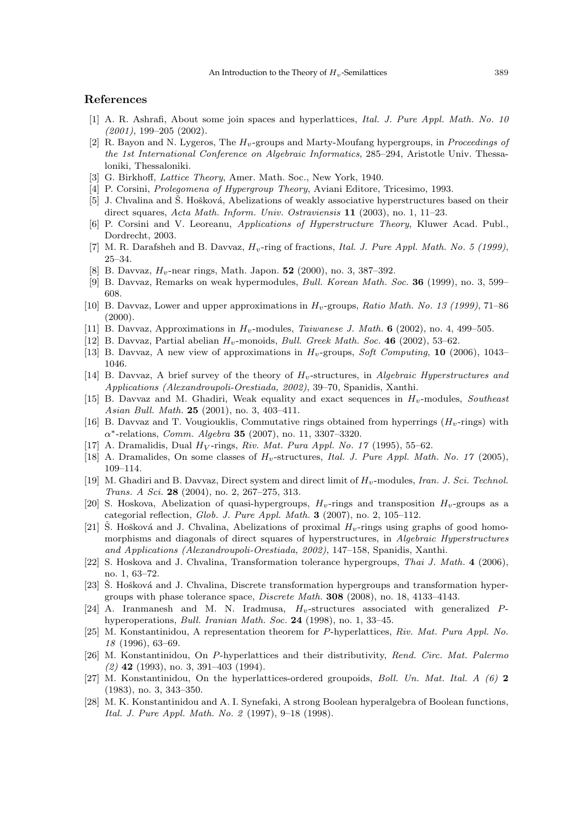# References

- [1] A. R. Ashrafi, About some join spaces and hyperlattices, Ital. J. Pure Appl. Math. No. 10 (2001), 199–205 (2002).
- [2] R. Bayon and N. Lygeros, The  $H_v$ -groups and Marty-Moufang hypergroups, in *Proceedings of* the 1st International Conference on Algebraic Informatics, 285–294, Aristotle Univ. Thessaloniki, Thessaloniki.
- [3] G. Birkhoff, Lattice Theory, Amer. Math. Soc., New York, 1940.
- [4] P. Corsini, Prolegomena of Hypergroup Theory, Aviani Editore, Tricesimo, 1993.
- [5] J. Chvalina and Š. Hošková, Abelizations of weakly associative hyperstructures based on their direct squares, Acta Math. Inform. Univ. Ostraviensis 11 (2003), no. 1, 11–23.
- [6] P. Corsini and V. Leoreanu, Applications of Hyperstructure Theory, Kluwer Acad. Publ., Dordrecht, 2003.
- [7] M. R. Darafsheh and B. Davvaz,  $H_v$ -ring of fractions, Ital. J. Pure Appl. Math. No. 5 (1999), 25–34.
- [8] B. Davvaz,  $H_v$ -near rings, Math. Japon. 52 (2000), no. 3, 387–392.
- [9] B. Davvaz, Remarks on weak hypermodules, Bull. Korean Math. Soc. 36 (1999), no. 3, 599– 608.
- [10] B. Davvaz, Lower and upper approximations in  $H_v$ -groups, Ratio Math. No. 13 (1999), 71–86  $(2000)$ .
- [11] B. Davvaz, Approximations in  $H_v$ -modules, *Taiwanese J. Math.* 6 (2002), no. 4, 499–505.
- [12] B. Davvaz, Partial abelian  $H_v$ -monoids, *Bull. Greek Math. Soc.* 46 (2002), 53–62.
- [13] B. Davvaz, A new view of approximations in  $H_v$ -groups, Soft Computing, 10 (2006), 1043– 1046.
- [14] B. Davvaz, A brief survey of the theory of  $H_v$ -structures, in Algebraic Hyperstructures and Applications (Alexandroupoli-Orestiada, 2002), 39–70, Spanidis, Xanthi.
- [15] B. Davvaz and M. Ghadiri, Weak equality and exact sequences in  $H_v$ -modules, Southeast Asian Bull. Math. 25 (2001), no. 3, 403–411.
- [16] B. Davvaz and T. Vougiouklis, Commutative rings obtained from hyperrings  $(H_v$ -rings) with  $\alpha^*$ -relations, *Comm. Algebra* 35 (2007), no. 11, 3307-3320.
- [17] A. Dramalidis, Dual  $H_V$ -rings, Riv. Mat. Pura Appl. No. 17 (1995), 55–62.
- [18] A. Dramalides, On some classes of  $H_v$ -structures, Ital. J. Pure Appl. Math. No. 17 (2005), 109–114.
- [19] M. Ghadiri and B. Davvaz, Direct system and direct limit of  $H_v$ -modules, Iran. J. Sci. Technol. Trans. A Sci. 28 (2004), no. 2, 267–275, 313.
- [20] S. Hoskova, Abelization of quasi-hypergroups,  $H_v$ -rings and transposition  $H_v$ -groups as a categorial reflection, Glob. J. Pure Appl. Math. 3 (2007), no. 2, 105–112.
- [21] Š. Hošková and J. Chvalina, Abelizations of proximal  $H_v$ -rings using graphs of good homomorphisms and diagonals of direct squares of hyperstructures, in Algebraic Hyperstructures and Applications (Alexandroupoli-Orestiada, 2002), 147–158, Spanidis, Xanthi.
- [22] S. Hoskova and J. Chvalina, Transformation tolerance hypergroups, Thai J. Math. 4 (2006), no. 1, 63–72.
- [23] Š. Hošková and J. Chvalina, Discrete transformation hypergroups and transformation hypergroups with phase tolerance space, Discrete Math. 308 (2008), no. 18, 4133–4143.
- [24] A. Iranmanesh and M. N. Iradmusa,  $H_v$ -structures associated with generalized  $P$ hyperoperations, Bull. Iranian Math. Soc. 24 (1998), no. 1, 33–45.
- [25] M. Konstantinidou, A representation theorem for P-hyperlattices, Riv. Mat. Pura Appl. No. 18 (1996), 63–69.
- [26] M. Konstantinidou, On P-hyperlattices and their distributivity, Rend. Circ. Mat. Palermo  $(2)$  42 (1993), no. 3, 391-403 (1994).
- [27] M. Konstantinidou, On the hyperlattices-ordered groupoids, *Boll. Un. Mat. Ital. A (6)* 2 (1983), no. 3, 343–350.
- [28] M. K. Konstantinidou and A. I. Synefaki, A strong Boolean hyperalgebra of Boolean functions, Ital. J. Pure Appl. Math. No. 2 (1997), 9–18 (1998).